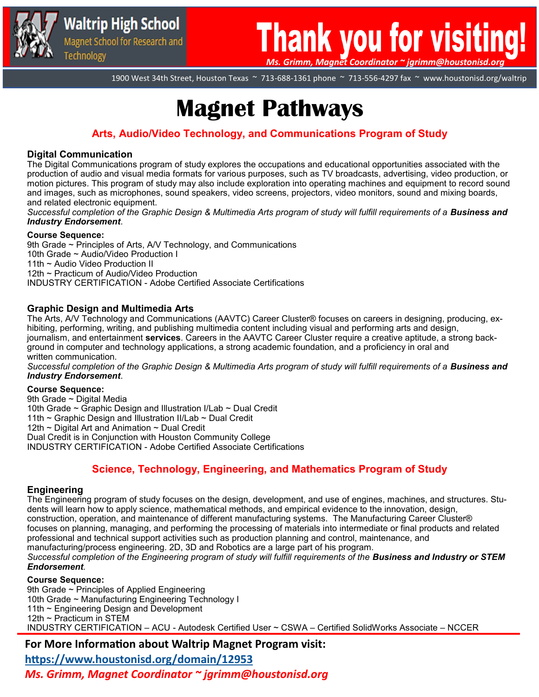

# **Thank you for visiti** *Ms. Grimm, Magnet Coordinator ~ jgrimm@houstonisd.org*

1900 West 34th Street, Houston Texas ~ 713-688-1361 phone ~ 713-556-4297 fax ~ www.houstonisd.org/waltrip

# **Magnet Pathways**

# **Arts, Audio/Video Technology, and Communications Program of Study**

### **Digital Communication**

The Digital Communications program of study explores the occupations and educational opportunities associated with the production of audio and visual media formats for various purposes, such as TV broadcasts, advertising, video production, or motion pictures. This program of study may also include exploration into operating machines and equipment to record sound and images, such as microphones, sound speakers, video screens, projectors, video monitors, sound and mixing boards, and related electronic equipment.

*Successful completion of the Graphic Design & Multimedia Arts program of study will fulfill requirements of a Business and Industry Endorsement*.

### **Course Sequence:**

9th Grade ~ Principles of Arts, A/V Technology, and Communications 10th Grade ~ Audio/Video Production I 11th ~ Audio Video Production II 12th ~ Practicum of Audio/Video Production INDUSTRY CERTIFICATION - Adobe Certified Associate Certifications

### **Graphic Design and Multimedia Arts**

The Arts, A/V Technology and Communications (AAVTC) Career Cluster® focuses on careers in designing, producing, exhibiting, performing, writing, and publishing multimedia content including visual and performing arts and design, journalism, and entertainment **services**. Careers in the AAVTC Career Cluster require a creative aptitude, a strong background in computer and technology applications, a strong academic foundation, and a proficiency in oral and written communication.

*Successful completion of the Graphic Design & Multimedia Arts program of study will fulfill requirements of a Business and Industry Endorsement*.

### **Course Sequence:**

9th Grade ~ Digital Media 10th Grade ~ Graphic Design and Illustration I/Lab ~ Dual Credit 11th ~ Graphic Design and Illustration II/Lab ~ Dual Credit 12th ~ Digital Art and Animation ~ Dual Credit Dual Credit is in Conjunction with Houston Community College INDUSTRY CERTIFICATION - Adobe Certified Associate Certifications

## **Science, Technology, Engineering, and Mathematics Program of Study**

### **Engineering**

The Engineering program of study focuses on the design, development, and use of engines, machines, and structures. Students will learn how to apply science, mathematical methods, and empirical evidence to the innovation, design, construction, operation, and maintenance of different manufacturing systems. The Manufacturing Career Cluster® focuses on planning, managing, and performing the processing of materials into intermediate or final products and related professional and technical support activities such as production planning and control, maintenance, and manufacturing/process engineering. 2D, 3D and Robotics are a large part of his program. *Successful completion of the Engineering program of study will fulfill requirements of the Business and Industry or STEM Endorsement.*

### **Course Sequence:**

9th Grade ~ Principles of Applied Engineering 10th Grade ~ Manufacturing Engineering Technology I 11th ~ Engineering Design and Development 12th ~ Practicum in STEM INDUSTRY CERTIFICATION – ACU - Autodesk Certified User ~ CSWA – Certified SolidWorks Associate – NCCER

## **For More Information about Waltrip Magnet Program visit:**

**<https://www.houstonisd.org/domain/12953>**

*Ms. Grimm, Magnet Coordinator ~ jgrimm@houstonisd.org*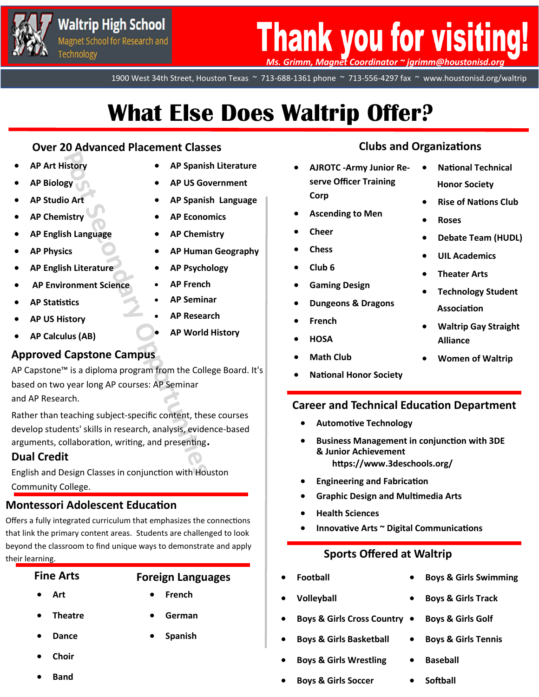

# **Thank you for visiting!** *Ms. Grimm, Magnet Coordinator ~ jgrimm@houstonisd.org*

1900 West 34th Street, Houston Texas ~ 713-688-1361 phone ~ 713-556-4297 fax ~ www.houstonisd.org/waltrip

# **What Else Does Waltrip Offer?**

# **Over 20 Advanced Placement Classes Clubs and Organizations**

- **AP Art History**
- **AP Biology**
- **AP Studio Art**
- **AP Chemistry**
- **AP English Language**
- **AP Physics**
- **AP English Literature**
- **AP Environment Science**
- **AP Statistics**
- **AP US History**
- **AP Calculus (AB)**

# **Approved Capstone Campus**

AP Capstone™ is a diploma program from the College Board. It's based on two year long AP courses: AP Seminar and AP Research.

Rather than teaching subject-specific content, these courses develop students' skills in research, analysis, evidence-based arguments, collaboration, writing, and presenting.

# **Dual Credit**

English and Design Classes in conjunction with Houston Community College.

# **Montessori Adolescent Education**

Offers a fully integrated curriculum that emphasizes the connections that link the primary content areas. Students are challenged to look beyond the classroom to find unique ways to demonstrate and apply their learning.

# **Fine Arts** • **Football Foreign Languages** • **French**

- **Art**
- **Theatre**
- **German**

• **Spanish**

- **Dance**
- **Choir**
- **Band**
- **AP Spanish Literature**
- **AP US Government**
- **AP Spanish Language**
- **AP Economics**
- **AP Chemistry**
- **AP Human Geography**
- **AP Psychology**
- **AP French**
- **AP Seminar**
	- **AP Research**
	- **AP World History**

• **National Technical** 

• **Rise of Nations Club**

• **Debate Team (HUDL)**

• **Technology Student** 

• **Waltrip Gay Straight** 

• **Women of Waltrip**

**Honor Society**

• **UIL Academics** 

• **Theater Arts**

**Association**

**Alliance**

• **Roses**

- **AJROTC -Army Junior Reserve Officer Training Corp**
- **Ascending to Men**
- **Cheer**
- **Chess**
- **Club 6**
- **Gaming Design**
- 
- 
- 
- **Math Club**
- 

## **Career and Technical Education Department**

- **Automotive Technology**
- **Business Management in conjunction with 3DE & Junior Achievement https://www.3deschools.org/**
- **Engineering and Fabrication**
- **Graphic Design and Multimedia Arts**
- **Health Sciences**
- **Innovative Arts ~ Digital Communications**

# **Sports Offered at Waltrip**

- 
- **Volleyball**
- **Boys & Girls Cross Country**
- **Boys & Girls Basketball**
- **Boys & Girls Wrestling**
- **Boys & Girls Soccer**
- **Boys & Girls Swimming**
- **Boys & Girls Track**
- **Boys & Girls Golf**
- **Boys & Girls Tennis**
- **Baseball**
- **Softball**
- **Dungeons & Dragons**
- **French**
- **HOSA**
- 
- **National Honor Society**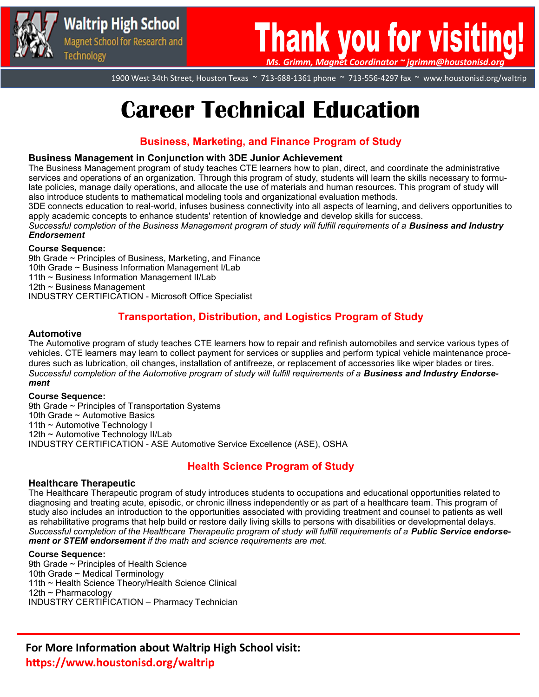

# **Thank you for visitin** *Ms. Grimm, Magnet Coordinator ~ jgrimm@houstonisd.org*

1900 West 34th Street, Houston Texas ~ 713-688-1361 phone ~ 713-556-4297 fax ~ www.houstonisd.org/waltrip

# **Career Technical Education**

## **Business, Marketing, and Finance Program of Study**

### **Business Management in Conjunction with 3DE Junior Achievement**

The Business Management program of study teaches CTE learners how to plan, direct, and coordinate the administrative services and operations of an organization. Through this program of study, students will learn the skills necessary to formulate policies, manage daily operations, and allocate the use of materials and human resources. This program of study will also introduce students to mathematical modeling tools and organizational evaluation methods.

3DE connects education to real-world, infuses business connectivity into all aspects of learning, and delivers opportunities to apply academic concepts to enhance students' retention of knowledge and develop skills for success.

*Successful completion of the Business Management program of study will fulfill requirements of a Business and Industry Endorsement*

### **Course Sequence:**

9th Grade ~ Principles of Business, Marketing, and Finance 10th Grade ~ Business Information Management I/Lab 11th ~ Business Information Management II/Lab 12th ~ Business Management INDUSTRY CERTIFICATION - Microsoft Office Specialist

## **Transportation, Distribution, and Logistics Program of Study**

### **Automotive**

The Automotive program of study teaches CTE learners how to repair and refinish automobiles and service various types of vehicles. CTE learners may learn to collect payment for services or supplies and perform typical vehicle maintenance procedures such as lubrication, oil changes, installation of antifreeze, or replacement of accessories like wiper blades or tires. *Successful completion of the Automotive program of study will fulfill requirements of a Business and Industry Endorsement*

### **Course Sequence:**

9th Grade ~ Principles of Transportation Systems 10th Grade ~ Automotive Basics 11th ~ Automotive Technology I 12th ~ Automotive Technology II/Lab INDUSTRY CERTIFICATION - ASE Automotive Service Excellence (ASE), OSHA

## **Health Science Program of Study**

### **[Healthcare Therapeutic](https://tea.texas.gov/sites/default/files/HealthcareTherapeutic-ProgramOfStudy2020.pdf)**

The Healthcare Therapeutic program of study introduces students to occupations and educational opportunities related to diagnosing and treating acute, episodic, or chronic illness independently or as part of a healthcare team. This program of study also includes an introduction to the opportunities associated with providing treatment and counsel to patients as well as rehabilitative programs that help build or restore daily living skills to persons with disabilities or developmental delays. *Successful completion of the Healthcare Therapeutic program of study will fulfill requirements of a Public Service endorsement or STEM endorsement if the math and science requirements are met.* 

### **Course Sequence:**

9th Grade ~ Principles of Health Science 10th Grade ~ Medical Terminology 11th ~ Health Science Theory/Health Science Clinical 12th ~ Pharmacology INDUSTRY CERTIFICATION – Pharmacy Technician

**For More Information about Waltrip High School visit: https://www.houstonisd.org/waltrip**